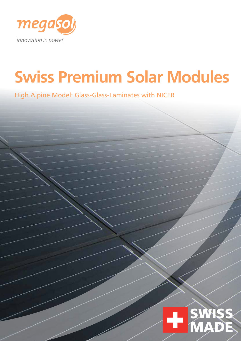

# **Swiss Premium Solar Modules**

High Alpine Model: Glass-Glass-Laminates with NICER

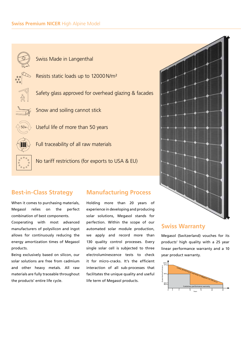





Resists static loads up to 12000N/m²



Safety glass approved for overhead glazing & facades



Snow and soiling cannot stick



Useful life of more than 50 years



Full traceability of all raw materials

No tariff restrictions (for exports to USA & EU)

## **Best-in-Class Strategy**

When it comes to purchasing materials, Megasol relies on the perfect combination of best components.

Cooperating with most advanced manufacturers of polysilicon and ingot allows for continuously reducing the energy amortization times of Megasol products.

Being exclusively based on silicon, our solar solutions are free from cadmium and other heavy metals. All raw materials are fully traceable throughout the products' entire life cycle.

### **Manufacturing Process**

Holding more than 20 years of experience in developing and producing solar solutions, Megasol stands for perfection. Within the scope of our automated solar module production, we apply and record more than 130 quality control processes. Every single solar cell is subjected to three electroluminescence tests to check it for micro-cracks. It's the efficient interaction of all sub-processes that facilitates the unique quality and useful life term of Megasol products.

#### **Swiss Warranty**

Megasol (Switzerland) vouches for its products' high quality with a 25 year linear performance warranty and a 10 year product warranty.



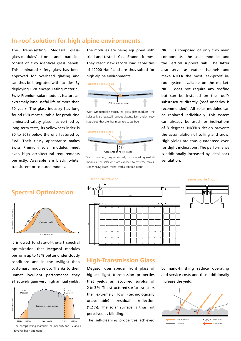#### **In-roof solution for high alpine environments**

The trend-setting Megasol glassglass-modules' front and backside consist of two identical glass panels. This laminated safety glass has been approved for overhead glazing and can thus be integrated with facades. By deploying PVB encapsulating material, Swiss Premium solar modules feature an extremely long useful life of more than 50 years. The glass industry has long found PVB most suitable for producing laminated safety glass – as verified by long-term tests, its yellowness index is 30 to 50% below the one featured by EVA. Their classy appearance makes Swiss Premium solar modules meet even high architectural requirements perfectly. Available are black, white, translucent or coloured models.

#### **Spectral Optimization**



It is owed to state-of-the-art spectral optimization that Megasol modules perform up to 15% better under cloudy conditions and in the twilight than customary modules do. Thanks to their unmet low-light performance they effectively gain very high annual yields.



The modules are being equipped with tried-and-tested CleanFrame frames. They reach new record load capacities of 12000 N/m² and are thus suited for high alpine environments.



With symmetrically structured glass-glass-modules, the solar cells are located in a neutral zone. Even under heavy static load they are thus mounted stress-free.



VON EINEM AUTODESK-SCHULUNGSPRODUKT ERSTELLT modules, the solar cells are exposed to extreme forces. With common, asymmetrically structured glass-foil-Under heavy loads, micro-cracks can thus occur.

High yields are thus guaranteed even ventilation. The contract of the contract of the contract of the contract of the contract of the contract of the contract of the contract of the contract of the contract of the contract of the contract of the contract of t is additionally increased by ideal back for slight inclinations. The performance NICER is composed of only two main components: the solar modules and the vertical support rails. The latter also serve as water channels and make NICER the most leak-proof inroof system available on the market. NICER does not require any roofing but can be installed on the roof's substructure directly (roof underlay is recommended). All solar modules can be replaced individually. This system can already be used for inclinations of 3 degrees. NICER's design prevents the accumulation of soiling and snow.





#### **High-Transmission Glass**

highest light transmission properties and service costs and thus additionally that yields an acquired surplus of 2 to 3%. The structured surface scatters the extremely low (technologically unavoidable) residual reflection (1.2%). The solar surface is thus not perceived as blinding.

The self-cleaning properties achieved

plus of increase the yield. Megasol uses special front glass of by nano-finishing reduce operating and service costs and thus additionally by nano-finishing reduce operating



The encapsulating material's permeability for UV and IR rays has been optimized.